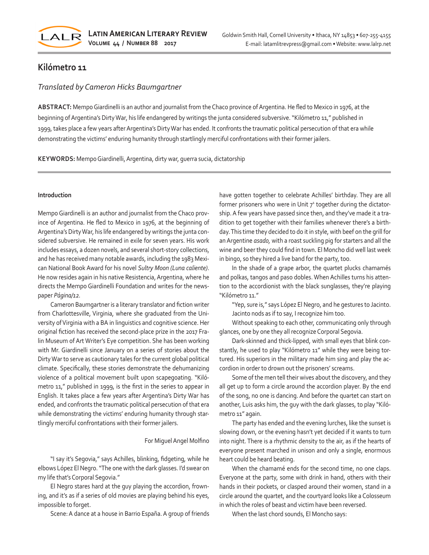

# **Kilómetro 11**

## *Translated by Cameron Hicks Baumgartner*

**ABSTRACT:** Mempo Giardinelli is an author and journalist from the Chaco province of Argentina. He fled to Mexico in 1976, at the beginning of Argentina's Dirty War, his life endangered by writings the junta considered subversive. "Kilómetro 11," published in 1999, takes place a few years after Argentina's Dirty War has ended. It confronts the traumatic political persecution of that era while demonstrating the victims' enduring humanity through startlingly merciful confrontations with their former jailers.

**KEYWORDS:** Mempo Giardinelli, Argentina, dirty war, guerra sucia, dictatorship

#### **Introduction**

Mempo Giardinelli is an author and journalist from the Chaco province of Argentina. He fled to Mexico in 1976, at the beginning of Argentina's Dirty War, his life endangered by writings the junta considered subversive. He remained in exile for seven years. His work includes essays, a dozen novels, and several short-story collections, and he has received many notable awards, including the 1983 Mexican National Book Award for his novel *Sultry Moon (Luna caliente)*. He now resides again in his native Resistencia, Argentina, where he directs the Mempo Giardinelli Foundation and writes for the newspaper *Página/12.* 

Cameron Baumgartner is a literary translator and fiction writer from Charlottesville, Virginia, where she graduated from the University of Virginia with a BA in linguistics and cognitive science. Her original fiction has received the second-place prize in the 2017 Fralin Museum of Art Writer's Eye competition. She has been working with Mr. Giardinelli since January on a series of stories about the Dirty War to serve as cautionary tales for the current global political climate. Specifically, these stories demonstrate the dehumanizing violence of a political movement built upon scapegoating. "Kilómetro 11," published in 1999, is the first in the series to appear in English. It takes place a few years after Argentina's Dirty War has ended, and confronts the traumatic political persecution of that era while demonstrating the victims' enduring humanity through startlingly merciful confrontations with their former jailers.

### For Miguel Angel Molfino

"I say it's Segovia," says Achilles, blinking, fidgeting, while he elbows López El Negro. "The one with the dark glasses. I'd swear on my life that's Corporal Segovia."

El Negro stares hard at the guy playing the accordion, frowning, and it's as if a series of old movies are playing behind his eyes, impossible to forget.

Scene: A dance at a house in Barrio España. A group of friends

have gotten together to celebrate Achilles' birthday. They are all former prisoners who were in Unit  $7<sup>1</sup>$  together during the dictatorship. A few years have passed since then, and they've made it a tradition to get together with their families whenever there's a birthday. This time they decided to do it in style, with beef on the grill for an Argentine *asado,* with a roast suckling pig for starters and all the wine and beer they could find in town. El Moncho did well last week in bingo, so they hired a live band for the party, too.

In the shade of a grape arbor, the quartet plucks chamamés and polkas, tangos and paso dobles. When Achilles turns his attention to the accordionist with the black sunglasses, they're playing "Kilómetro 11."

"Yep, sure is," says López El Negro, and he gestures to Jacinto. Jacinto nods as if to say, I recognize him too.

Without speaking to each other, communicating only through glances, one by one they all recognize Corporal Segovia.

Dark-skinned and thick-lipped, with small eyes that blink constantly, he used to play "Kilómetro 11" while they were being tortured. His superiors in the military made him sing and play the accordion in order to drown out the prisoners' screams.

Some of the men tell their wives about the discovery, and they all get up to form a circle around the accordion player. By the end of the song, no one is dancing. And before the quartet can start on another, Luis asks him, the guy with the dark glasses, to play "Kilómetro 11" again.

The party has ended and the evening lurches, like the sunset is slowing down, or the evening hasn't yet decided if it wants to turn into night. There is a rhythmic density to the air, as if the hearts of everyone present marched in unison and only a single, enormous heart could be heard beating.

When the chamamé ends for the second time, no one claps. Everyone at the party, some with drink in hand, others with their hands in their pockets, or clasped around their women, stand in a circle around the quartet, and the courtyard looks like a Colosseum in which the roles of beast and victim have been reversed.

When the last chord sounds, El Moncho says: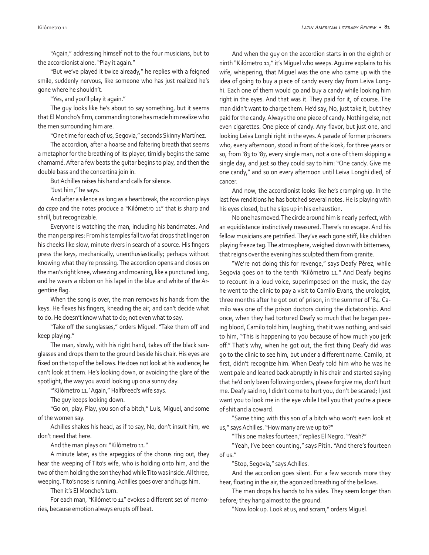"Again," addressing himself not to the four musicians, but to the accordionist alone. "Play it again."

"But we've played it twice already," he replies with a feigned smile, suddenly nervous, like someone who has just realized he's gone where he shouldn't.

"Yes, and you'll play it again."

The guy looks like he's about to say something, but it seems that El Moncho's firm, commanding tone has made him realize who the men surrounding him are.

"One time for each of us, Segovia," seconds Skinny Martínez.

The accordion, after a hoarse and faltering breath that seems a metaphor for the breathing of its player, timidly begins the same chamamé. After a few beats the guitar begins to play, and then the double bass and the concertina join in.

But Achilles raises his hand and calls for silence.

"Just him," he says.

And after a silence as long as a heartbreak, the accordion plays *da capo* and the notes produce a "Kilómetro 11" that is sharp and shrill, but recognizable.

Everyone is watching the man, including his bandmates. And the man perspires: From his temples fall two fat drops that linger on his cheeks like slow, minute rivers in search of a source. His fingers press the keys, mechanically, unenthusiastically; perhaps without knowing what they're pressing. The accordion opens and closes on the man's right knee, wheezing and moaning, like a punctured lung, and he wears a ribbon on his lapel in the blue and white of the Argentine flag.

When the song is over, the man removes his hands from the keys. He flexes his fingers, kneading the air, and can't decide what to do. He doesn't know what to do; not even what to say.

"Take off the sunglasses," orders Miguel. "Take them off and keep playing."

The man, slowly, with his right hand, takes off the black sunglasses and drops them to the ground beside his chair. His eyes are fixed on the top of the bellows. He does not look at his audience; he can't look at them. He's looking down, or avoiding the glare of the spotlight, the way you avoid looking up on a sunny day.

"'Kilómetro 11.' Again," Halfbreed's wife says.

The guy keeps looking down.

"Go on, play. Play, you son of a bitch," Luis, Miguel, and some of the women say.

Achilles shakes his head, as if to say, No, don't insult him, we don't need that here.

And the man plays on: "Kilómetro 11."

A minute later, as the arpeggios of the chorus ring out, they hear the weeping of Tito's wife, who is holding onto him, and the two of them holding the son they had while Tito was inside. All three, weeping. Tito's nose is running. Achilles goes over and hugs him.

Then it's El Moncho's turn.

For each man, "Kilómetro 11" evokes a different set of memories, because emotion always erupts off beat.

And when the guy on the accordion starts in on the eighth or ninth "Kilómetro 11," it's Miguel who weeps. Aguirre explains to his wife, whispering, that Miguel was the one who came up with the idea of going to buy a piece of candy every day from Leiva Longhi. Each one of them would go and buy a candy while looking him right in the eyes. And that was it. They paid for it, of course. The man didn't want to charge them. He'd say, No, just take it, but they paid for the candy. Always the one piece of candy. Nothing else, not even cigarettes. One piece of candy. Any flavor, but just one, and looking Leiva Longhi right in the eyes. A parade of former prisoners who, every afternoon, stood in front of the kiosk, for three years or so, from '83 to '87, every single man, not a one of them skipping a single day, and just so they could say to him: "One candy. Give me one candy," and so on every afternoon until Leiva Longhi died, of cancer.

And now, the accordionist looks like he's cramping up. In the last few renditions he has botched several notes. He is playing with his eyes closed, but he slips up in his exhaustion.

No one has moved. The circle around him is nearly perfect, with an equidistance instinctively measured. There's no escape. And his fellow musicians are petrified. They've each gone stiff, like children playing freeze tag. The atmosphere, weighed down with bitterness, that reigns over the evening has sculpted them from granite.

"We're not doing this for revenge," says Deafy Pérez, while Segovia goes on to the tenth "Kilómetro 11." And Deafy begins to recount in a loud voice, superimposed on the music, the day he went to the clinic to pay a visit to Camilo Evans, the urologist, three months after he got out of prison, in the summer of '84. Camilo was one of the prison doctors during the dictatorship. And once, when they had tortured Deafy so much that he began peeing blood, Camilo told him, laughing, that it was nothing, and said to him, "This is happening to you because of how much you jerk off." That's why, when he got out, the first thing Deafy did was go to the clinic to see him, but under a different name. Camilo, at first, didn't recognize him. When Deafy told him who he was he went pale and leaned back abruptly in his chair and started saying that he'd only been following orders, please forgive me, don't hurt me. Deafy said no, I didn't come to hurt you, don't be scared; I just want you to look me in the eye while I tell you that you're a piece of shit and a coward.

"Same thing with this son of a bitch who won't even look at us," says Achilles. "How many are we up to?"

"This one makes fourteen," replies El Negro. "Yeah?"

"Yeah, I've been counting," says Pitín. "And there's fourteen of us."

"Stop, Segovia," says Achilles.

And the accordion goes silent. For a few seconds more they hear, floating in the air, the agonized breathing of the bellows.

The man drops his hands to his sides. They seem longer than before; they hang almost to the ground.

"Now look up. Look at us, and scram," orders Miguel.